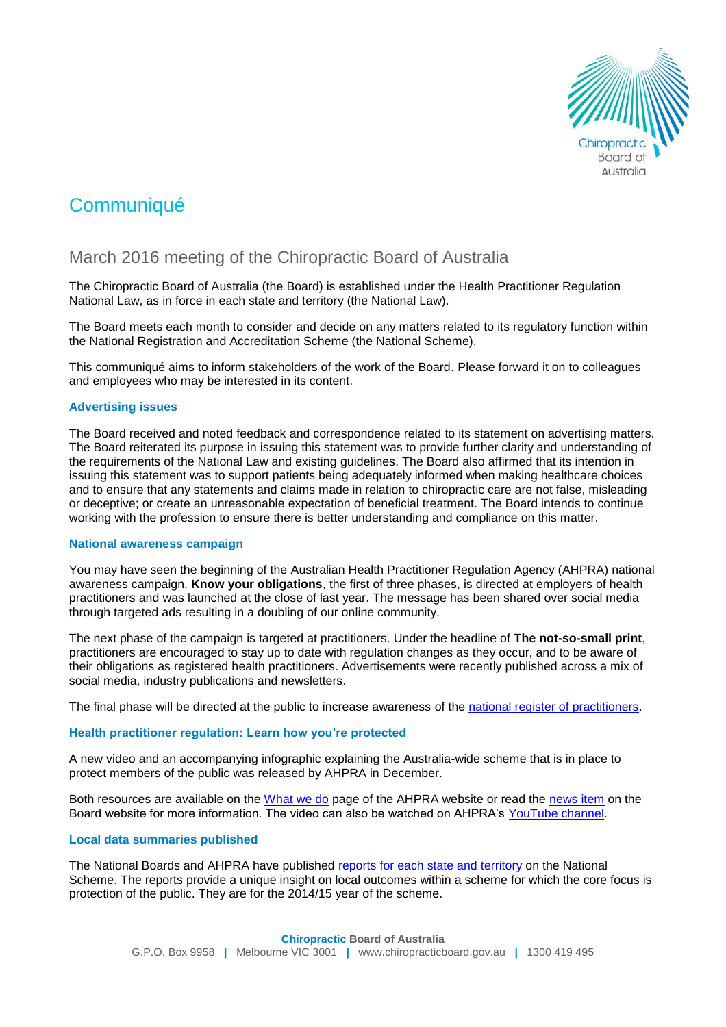

# Communiqué

# March 2016 meeting of the Chiropractic Board of Australia

The Chiropractic Board of Australia (the Board) is established under the Health Practitioner Regulation National Law, as in force in each state and territory (the National Law).

The Board meets each month to consider and decide on any matters related to its regulatory function within the National Registration and Accreditation Scheme (the National Scheme).

This communiqué aims to inform stakeholders of the work of the Board. Please forward it on to colleagues and employees who may be interested in its content.

# **Advertising issues**

The Board received and noted feedback and correspondence related to its statement on advertising matters. The Board reiterated its purpose in issuing this statement was to provide further clarity and understanding of the requirements of the National Law and existing guidelines. The Board also affirmed that its intention in issuing this statement was to support patients being adequately informed when making healthcare choices and to ensure that any statements and claims made in relation to chiropractic care are not false, misleading or deceptive; or create an unreasonable expectation of beneficial treatment. The Board intends to continue working with the profession to ensure there is better understanding and compliance on this matter.

# **National awareness campaign**

You may have seen the beginning of the Australian Health Practitioner Regulation Agency (AHPRA) national awareness campaign. **Know your obligations**, the first of three phases, is directed at employers of health practitioners and was launched at the close of last year. The message has been shared over social media through targeted ads resulting in a doubling of our online community.

The next phase of the campaign is targeted at practitioners. Under the headline of **The not-so-small print**, practitioners are encouraged to stay up to date with regulation changes as they occur, and to be aware of their obligations as registered health practitioners. Advertisements were recently published across a mix of social media, industry publications and newsletters.

The final phase will be directed at the public to increase awareness of the [national register of practitioners.](http://www.ahpra.gov.au/Registration/Registers-of-Practitioners.aspx)

# **Health practitioner regulation: Learn how you're protected**

A new video and an accompanying infographic explaining the Australia-wide scheme that is in place to protect members of the public was released by AHPRA in December.

Both resources are available on the [What we do](http://www.ahpra.gov.au/About-AHPRA/What-We-Do.aspx) page of the AHPRA website or read the [news item](http://www.chiropracticboard.gov.au/News/2015-12-22-national-regulatory-scheme.aspx) on the Board website for more information. The video can also be watched on AHPRA's [YouTube channel.](https://www.youtube.com/channel/UCtswdaCOff5CIv1ijDY9ffw)

# **Local data summaries published**

The National Boards and AHPRA have published [reports for each state and territory](http://www.ahpra.gov.au/annualreport/2015/downloads.html) on the National Scheme. The reports provide a unique insight on local outcomes within a scheme for which the core focus is protection of the public. They are for the 2014/15 year of the scheme.